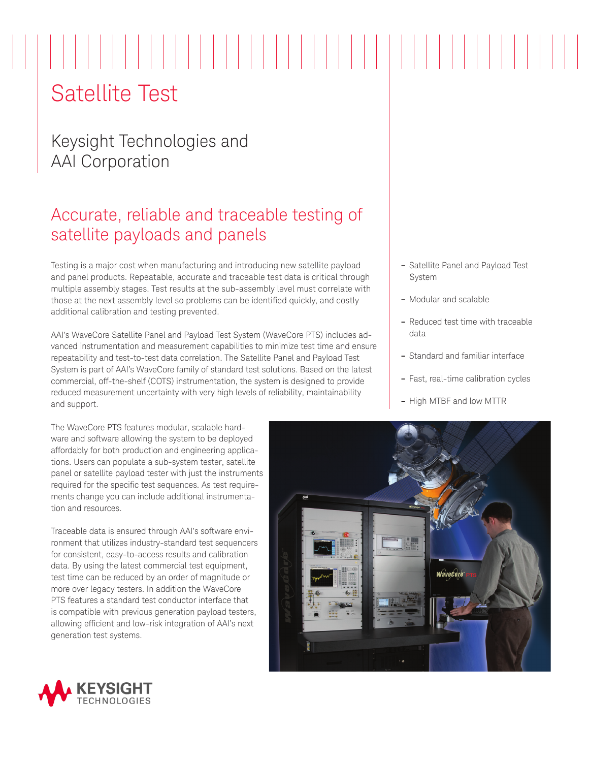# Satellite Test

### Keysight Technologies and AAI Corporation

## Accurate, reliable and traceable testing of satellite payloads and panels

Testing is a major cost when manufacturing and introducing new satellite payload and panel products. Repeatable, accurate and traceable test data is critical through multiple assembly stages. Test results at the sub-assembly level must correlate with those at the next assembly level so problems can be identified quickly, and costly additional calibration and testing prevented.

AAI's WaveCore Satellite Panel and Payload Test System (WaveCore PTS) includes advanced instrumentation and measurement capabilities to minimize test time and ensure repeatability and test-to-test data correlation. The Satellite Panel and Payload Test System is part of AAI's WaveCore family of standard test solutions. Based on the latest commercial, off-the-shelf (COTS) instrumentation, the system is designed to provide reduced measurement uncertainty with very high levels of reliability, maintainability and support.

The WaveCore PTS features modular, scalable hardware and software allowing the system to be deployed affordably for both production and engineering applications. Users can populate a sub-system tester, satellite panel or satellite payload tester with just the instruments required for the specific test sequences. As test requirements change you can include additional instrumentation and resources.

Traceable data is ensured through AAI's software environment that utilizes industry-standard test sequencers for consistent, easy-to-access results and calibration data. By using the latest commercial test equipment, test time can be reduced by an order of magnitude or more over legacy testers. In addition the WaveCore PTS features a standard test conductor interface that is compatible with previous generation payload testers, allowing efficient and low-risk integration of AAI's next generation test systems.



- **–** Modular and scalable
- **–** Reduced test time with traceable data
- **–** Standard and familiar interface
- **–** Fast, real-time calibration cycles
- **–** High MTBF and low MTTR